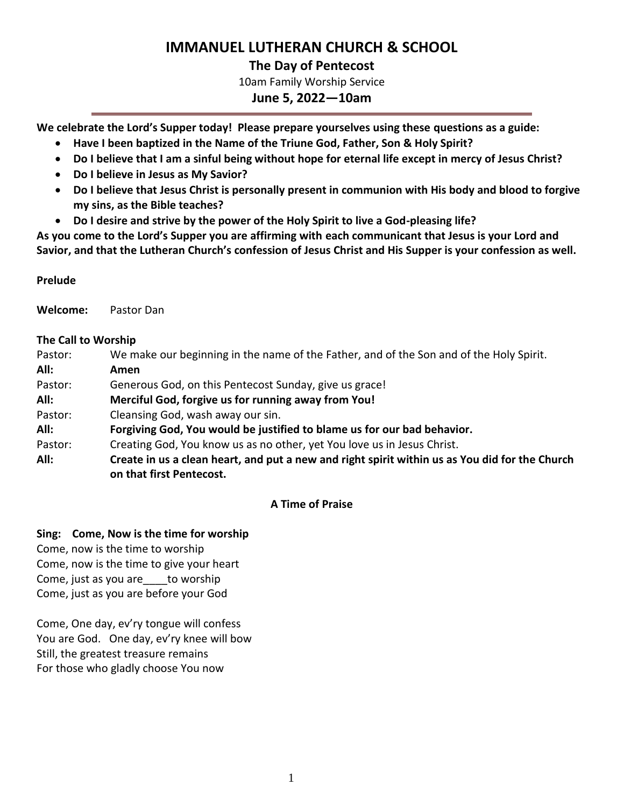# **IMMANUEL LUTHERAN CHURCH & SCHOOL**

# **The Day of Pentecost**

10am Family Worship Service

# **June 5, 2022—10am**

**We celebrate the Lord's Supper today! Please prepare yourselves using these questions as a guide:**

- **Have I been baptized in the Name of the Triune God, Father, Son & Holy Spirit?**
- **Do I believe that I am a sinful being without hope for eternal life except in mercy of Jesus Christ?**
- **Do I believe in Jesus as My Savior?**
- **Do I believe that Jesus Christ is personally present in communion with His body and blood to forgive my sins, as the Bible teaches?**
- **Do I desire and strive by the power of the Holy Spirit to live a God-pleasing life?**

**As you come to the Lord's Supper you are affirming with each communicant that Jesus is your Lord and Savior, and that the Lutheran Church's confession of Jesus Christ and His Supper is your confession as well.**

#### **Prelude**

**Welcome:** Pastor Dan

# **The Call to Worship**

| Pastor: | We make our beginning in the name of the Father, and of the Son and of the Holy Spirit.                                    |
|---------|----------------------------------------------------------------------------------------------------------------------------|
| All:    | Amen                                                                                                                       |
| Pastor: | Generous God, on this Pentecost Sunday, give us grace!                                                                     |
| All:    | Merciful God, forgive us for running away from You!                                                                        |
| Pastor: | Cleansing God, wash away our sin.                                                                                          |
| All:    | Forgiving God, You would be justified to blame us for our bad behavior.                                                    |
| Pastor: | Creating God, You know us as no other, yet You love us in Jesus Christ.                                                    |
| All:    | Create in us a clean heart, and put a new and right spirit within us as You did for the Church<br>on that first Pentecost. |

# **A Time of Praise**

# **Sing: Come, Now is the time for worship**

Come, now is the time to worship

Come, now is the time to give your heart Come, just as you are\_\_\_\_to worship

Come, just as you are before your God

Come, One day, ev'ry tongue will confess You are God. One day, ev'ry knee will bow Still, the greatest treasure remains For those who gladly choose You now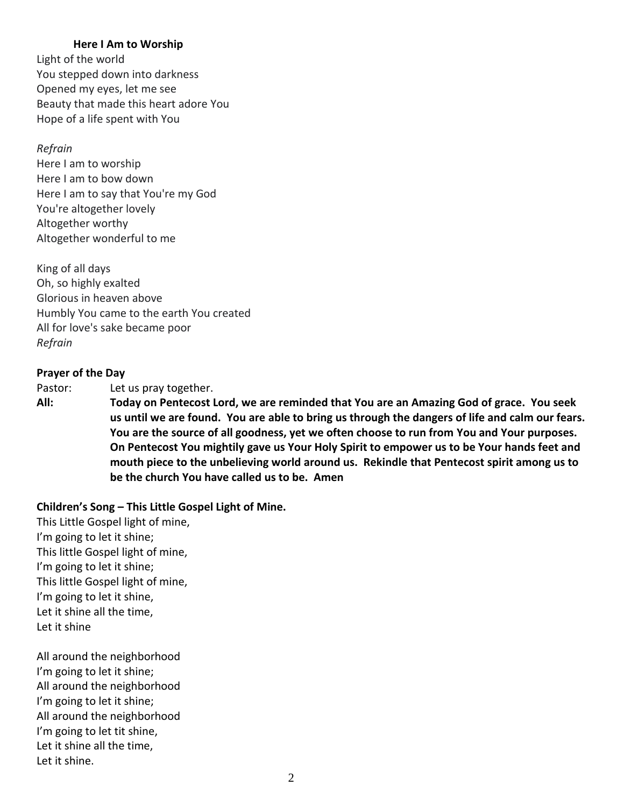#### **Here I Am to Worship**

Light of the world You stepped down into darkness Opened my eyes, let me see Beauty that made this heart adore You Hope of a life spent with You

### *Refrain*

Here I am to worship Here I am to bow down Here I am to say that You're my God You're altogether lovely Altogether worthy Altogether wonderful to me

King of all days Oh, so highly exalted Glorious in heaven above Humbly You came to the earth You created All for love's sake became poor *Refrain*

#### **Prayer of the Day**

Pastor: Let us pray together.

**All: Today on Pentecost Lord, we are reminded that You are an Amazing God of grace. You seek us until we are found. You are able to bring us through the dangers of life and calm our fears. You are the source of all goodness, yet we often choose to run from You and Your purposes. On Pentecost You mightily gave us Your Holy Spirit to empower us to be Your hands feet and mouth piece to the unbelieving world around us. Rekindle that Pentecost spirit among us to be the church You have called us to be. Amen**

# **Children's Song – This Little Gospel Light of Mine.**

This Little Gospel light of mine, I'm going to let it shine; This little Gospel light of mine, I'm going to let it shine; This little Gospel light of mine, I'm going to let it shine, Let it shine all the time, Let it shine

All around the neighborhood I'm going to let it shine; All around the neighborhood I'm going to let it shine; All around the neighborhood I'm going to let tit shine, Let it shine all the time, Let it shine.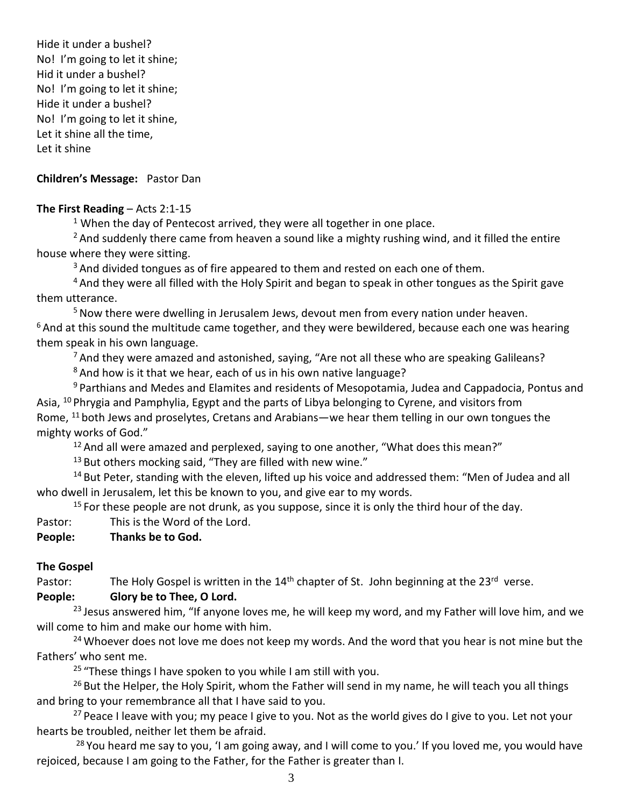Hide it under a bushel? No! I'm going to let it shine; Hid it under a bushel? No! I'm going to let it shine; Hide it under a bushel? No! I'm going to let it shine, Let it shine all the time, Let it shine

#### **Children's Message:** Pastor Dan

#### **The First Reading** – Acts 2:1-15

<sup>1</sup> When the day of Pentecost arrived, they were all together in one place.

 $<sup>2</sup>$  And suddenly there came from heaven a sound like a mighty rushing wind, and it filled the entire</sup> house where they were sitting.

<sup>3</sup> And divided tongues as of fire appeared to them and rested on each one of them.

<sup>4</sup> And they were all filled with the Holy Spirit and began to speak in other tongues as the Spirit gave them utterance.

<sup>5</sup> Now there were dwelling in Jerusalem Jews, devout men from every nation under heaven.  $6$  And at this sound the multitude came together, and they were bewildered, because each one was hearing them speak in his own language.

 $7$  And they were amazed and astonished, saying, "Are not all these who are speaking Galileans?

<sup>8</sup> And how is it that we hear, each of us in his own native language?

<sup>9</sup> Parthians and Medes and Elamites and residents of Mesopotamia, Judea and Cappadocia, Pontus and Asia, <sup>10</sup> Phrygia and Pamphylia, Egypt and the parts of Libya belonging to Cyrene, and visitors from Rome, <sup>11</sup> both Jews and proselytes, Cretans and Arabians—we hear them telling in our own tongues the mighty works of God."

 $12$  And all were amazed and perplexed, saying to one another, "What does this mean?"

<sup>13</sup> But others mocking said, "They are filled with new wine."

<sup>14</sup> But Peter, standing with the eleven, lifted up his voice and addressed them: "Men of Judea and all who dwell in Jerusalem, let this be known to you, and give ear to my words.

 $15$  For these people are not drunk, as you suppose, since it is only the third hour of the day.

#### Pastor: This is the Word of the Lord.

#### **People: Thanks be to God.**

#### **The Gospel**

Pastor: The Holy Gospel is written in the 14<sup>th</sup> chapter of St. John beginning at the 23<sup>rd</sup> verse.

#### **People: Glory be to Thee, O Lord.**

<sup>23</sup> Jesus answered him, "If anyone loves me, he will keep my word, and my Father will love him, and we will come to him and make our home with him.

<sup>24</sup> Whoever does not love me does not keep my words. And the word that you hear is not mine but the Fathers' who sent me.

<sup>25</sup> "These things I have spoken to you while I am still with you.

<sup>26</sup> But the Helper, the Holy Spirit, whom the Father will send in my name, he will teach you all things and bring to your remembrance all that I have said to you.

<sup>27</sup> Peace I leave with you; my peace I give to you. Not as the world gives do I give to you. Let not your hearts be troubled, neither let them be afraid.

<sup>28</sup> You heard me say to you, 'I am going away, and I will come to you.' If you loved me, you would have rejoiced, because I am going to the Father, for the Father is greater than I.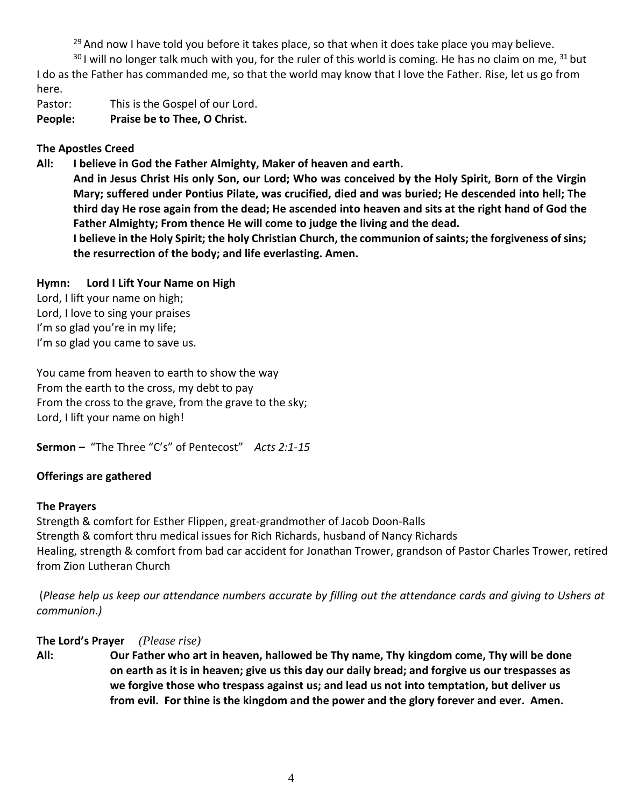$29$  And now I have told you before it takes place, so that when it does take place you may believe.

 $30$  I will no longer talk much with you, for the ruler of this world is coming. He has no claim on me,  $31$  but I do as the Father has commanded me, so that the world may know that I love the Father. Rise, let us go from here.

Pastor: This is the Gospel of our Lord.

**People: Praise be to Thee, O Christ.**

# **The Apostles Creed**

**All: I believe in God the Father Almighty, Maker of heaven and earth.** 

**And in Jesus Christ His only Son, our Lord; Who was conceived by the Holy Spirit, Born of the Virgin Mary; suffered under Pontius Pilate, was crucified, died and was buried; He descended into hell; The third day He rose again from the dead; He ascended into heaven and sits at the right hand of God the Father Almighty; From thence He will come to judge the living and the dead.**

**I believe in the Holy Spirit; the holy Christian Church, the communion of saints; the forgiveness of sins; the resurrection of the body; and life everlasting. Amen.**

#### **Hymn: Lord I Lift Your Name on High**

Lord, I lift your name on high; Lord, I love to sing your praises I'm so glad you're in my life; I'm so glad you came to save us.

You came from heaven to earth to show the way From the earth to the cross, my debt to pay From the cross to the grave, from the grave to the sky; Lord, I lift your name on high!

**Sermon –** "The Three "C's" of Pentecost" *Acts 2:1-15*

# **Offerings are gathered**

# **The Prayers**

Strength & comfort for Esther Flippen, great-grandmother of Jacob Doon-Ralls Strength & comfort thru medical issues for Rich Richards, husband of Nancy Richards Healing, strength & comfort from bad car accident for Jonathan Trower, grandson of Pastor Charles Trower, retired from Zion Lutheran Church

(*Please help us keep our attendance numbers accurate by filling out the attendance cards and giving to Ushers at communion.)*

# **The Lord's Prayer** *(Please rise)*

**All: Our Father who art in heaven, hallowed be Thy name, Thy kingdom come, Thy will be done on earth as it is in heaven; give us this day our daily bread; and forgive us our trespasses as we forgive those who trespass against us; and lead us not into temptation, but deliver us from evil. For thine is the kingdom and the power and the glory forever and ever. Amen.**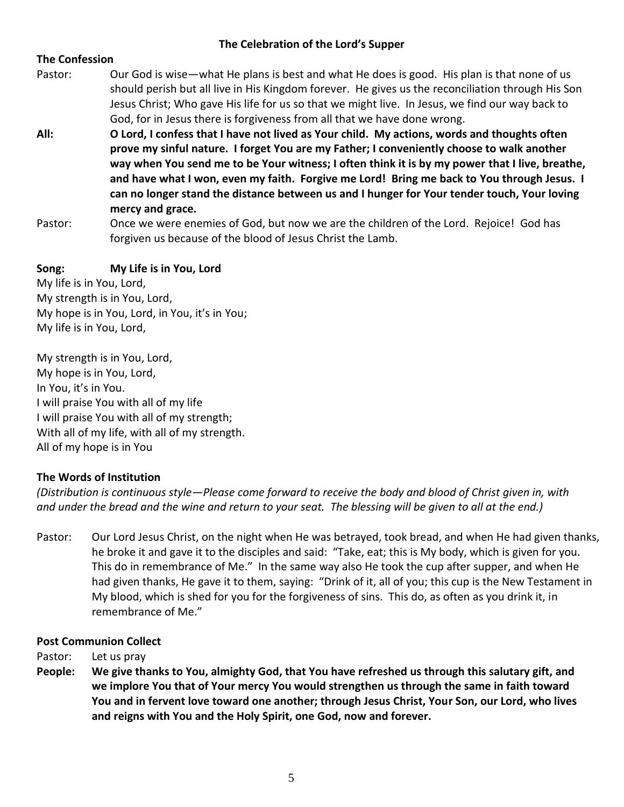### **The Celebration of the Lord's Supper**

# **The Confession**

- Pastor: Our God is wise—what He plans is best and what He does is good. His plan is that none of us should perish but all live in His Kingdom forever. He gives us the reconciliation through His Son Jesus Christ; Who gave His life for us so that we might live. In Jesus, we find our way back to God, for in Jesus there is forgiveness from all that we have done wrong.
- **All: O Lord, I confess that I have not lived as Your child. My actions, words and thoughts often prove my sinful nature. I forget You are my Father; I conveniently choose to walk another way when You send me to be Your witness; I often think it is by my power that I live, breathe, and have what I won, even my faith. Forgive me Lord! Bring me back to You through Jesus. I can no longer stand the distance between us and I hunger for Your tender touch, Your loving mercy and grace.**
- Pastor: Once we were enemies of God, but now we are the children of the Lord. Rejoice! God has forgiven us because of the blood of Jesus Christ the Lamb.

# **Song: My Life is in You, Lord**

My life is in You, Lord, My strength is in You, Lord, My hope is in You, Lord, in You, it's in You; My life is in You, Lord,

My strength is in You, Lord, My hope is in You, Lord, In You, it's in You. I will praise You with all of my life I will praise You with all of my strength; With all of my life, with all of my strength. All of my hope is in You

# **The Words of Institution**

*(Distribution is continuous style—Please come forward to receive the body and blood of Christ given in, with and under the bread and the wine and return to your seat. The blessing will be given to all at the end.)* 

Pastor: Our Lord Jesus Christ, on the night when He was betrayed, took bread, and when He had given thanks, he broke it and gave it to the disciples and said: "Take, eat; this is My body, which is given for you. This do in remembrance of Me." In the same way also He took the cup after supper, and when He had given thanks, He gave it to them, saying: "Drink of it, all of you; this cup is the New Testament in My blood, which is shed for you for the forgiveness of sins. This do, as often as you drink it, in remembrance of Me."

# **Post Communion Collect**

- Pastor: Let us pray
- **People: We give thanks to You, almighty God, that You have refreshed us through this salutary gift, and we implore You that of Your mercy You would strengthen us through the same in faith toward You and in fervent love toward one another; through Jesus Christ, Your Son, our Lord, who lives and reigns with You and the Holy Spirit, one God, now and forever.**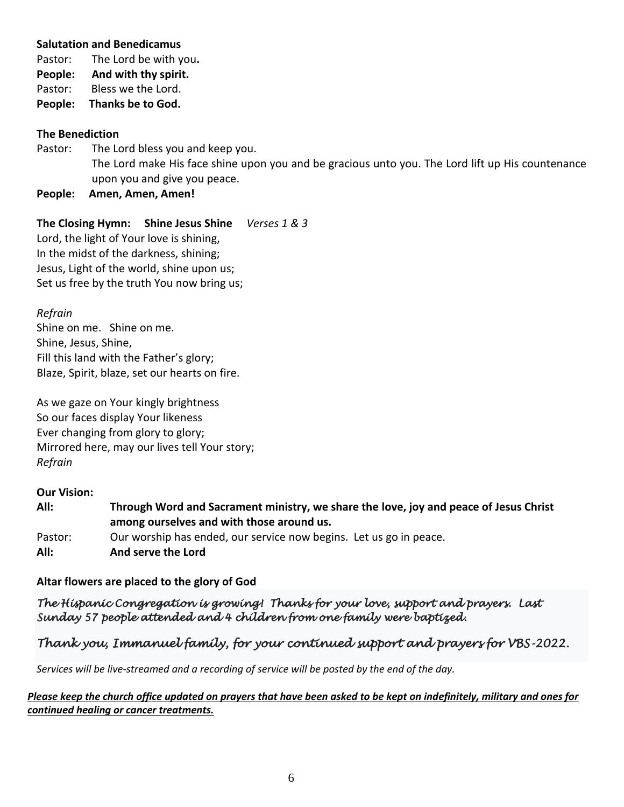#### **Salutation and Benedicamus**

- Pastor: The Lord be with you**.**
- **People: And with thy spirit.**
- Pastor: Bless we the Lord.
- **People: Thanks be to God.**

#### **The Benediction**

- Pastor: The Lord bless you and keep you. The Lord make His face shine upon you and be gracious unto you. The Lord lift up His countenance upon you and give you peace.
- **People: Amen, Amen, Amen!**

**The Closing Hymn: Shine Jesus Shine** *Verses 1 & 3* Lord, the light of Your love is shining, In the midst of the darkness, shining; Jesus, Light of the world, shine upon us;

Set us free by the truth You now bring us;

*Refrain* Shine on me. Shine on me. Shine, Jesus, Shine, Fill this land with the Father's glory; Blaze, Spirit, blaze, set our hearts on fire.

As we gaze on Your kingly brightness So our faces display Your likeness Ever changing from glory to glory; Mirrored here, may our lives tell Your story; *Refrain*

#### **Our Vision:**

| All:    | Through Word and Sacrament ministry, we share the love, joy and peace of Jesus Christ |
|---------|---------------------------------------------------------------------------------------|
|         | among ourselves and with those around us.                                             |
| Pastor: | Our worship has ended, our service now begins. Let us go in peace.                    |
| All:    | And serve the Lord                                                                    |

**Altar flowers are placed to the glory of God**

# *The Hispanic Congregation is growing! Thanks for your love, support and prayers. Last Sunday 57 people attended and 4 children from one family were baptized.*

# *Thank you, Immanuel family, for your continued support and prayers for VBS-2022.*

*Services will be live-streamed and a recording of service will be posted by the end of the day.* 

*Please keep the church office updated on prayers that have been asked to be kept on indefinitely, military and ones for continued healing or cancer treatments.*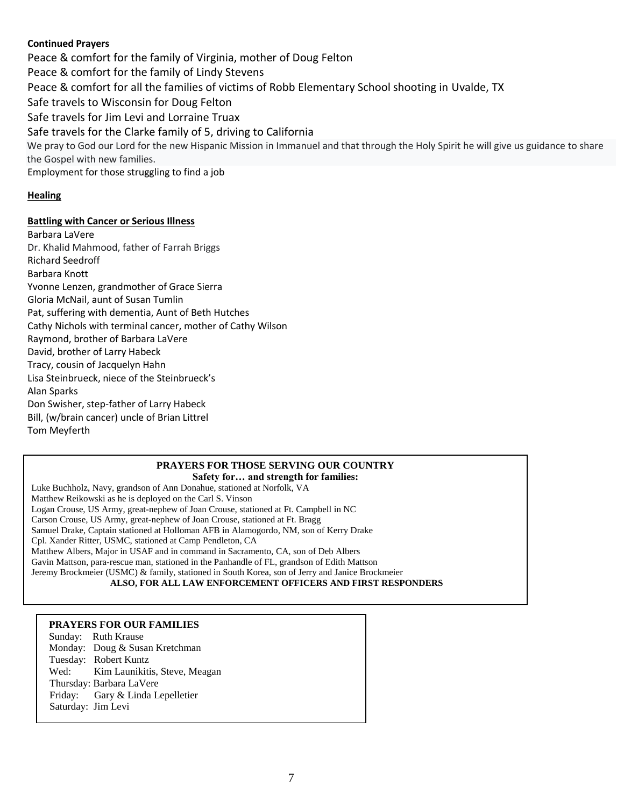#### **Continued Prayers**

Peace & comfort for the family of Virginia, mother of Doug Felton Peace & comfort for the family of Lindy Stevens Peace & comfort for all the families of victims of Robb Elementary School shooting in Uvalde, TX Safe travels to Wisconsin for Doug Felton Safe travels for Jim Levi and Lorraine Truax Safe travels for the Clarke family of 5, driving to California We pray to God our Lord for the new Hispanic Mission in Immanuel and that through the Holy Spirit he will give us guidance to share the Gospel with new families. Employment for those struggling to find a job

#### **Healing**

#### **Battling with Cancer or Serious Illness**

Barbara LaVere Dr. Khalid Mahmood, father of Farrah Briggs Richard Seedroff Barbara Knott Yvonne Lenzen, grandmother of Grace Sierra Gloria McNail, aunt of Susan Tumlin Pat, suffering with dementia, Aunt of Beth Hutches Cathy Nichols with terminal cancer, mother of Cathy Wilson Raymond, brother of Barbara LaVere David, brother of Larry Habeck Tracy, cousin of Jacquelyn Hahn Lisa Steinbrueck, niece of the Steinbrueck's Alan Sparks Don Swisher, step-father of Larry Habeck Bill, (w/brain cancer) uncle of Brian Littrel Tom Meyferth

# **PRAYERS FOR THOSE SERVING OUR COUNTRY**

#### **Safety for… and strength for families:**

Luke Buchholz, Navy, grandson of Ann Donahue, stationed at Norfolk, VA Matthew Reikowski as he is deployed on the Carl S. Vinson Logan Crouse, US Army, great-nephew of Joan Crouse, stationed at Ft. Campbell in NC Carson Crouse, US Army, great-nephew of Joan Crouse, stationed at Ft. Bragg Samuel Drake, Captain stationed at Holloman AFB in Alamogordo, NM, son of Kerry Drake Cpl. Xander Ritter, USMC, stationed at Camp Pendleton, CA Matthew Albers, Major in USAF and in command in Sacramento, CA, son of Deb Albers Gavin Mattson, para-rescue man, stationed in the Panhandle of FL, grandson of Edith Mattson Jeremy Brockmeier (USMC) & family, stationed in South Korea, son of Jerry and Janice Brockmeier **ALSO, FOR ALL LAW ENFORCEMENT OFFICERS AND FIRST RESPONDERS**

#### **PRAYERS FOR OUR FAMILIES**

Sunday: Ruth Krause Monday: Doug & Susan Kretchman Tuesday: Robert Kuntz Wed: Kim Launikitis, Steve, Meagan Thursday: Barbara LaVere Friday: Gary & Linda Lepelletier Saturday: Jim Levi

 $\overline{a}$